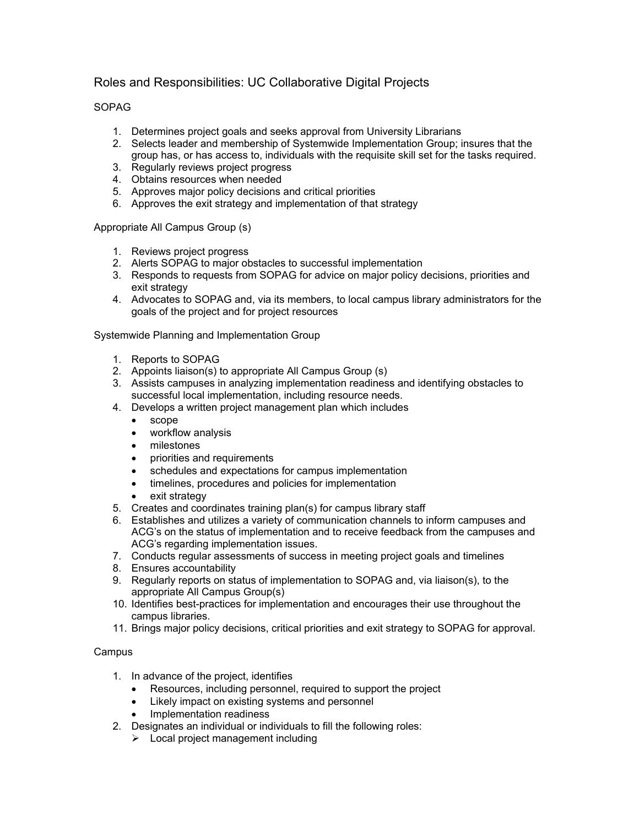## Roles and Responsibilities: UC Collaborative Digital Projects

## SOPAG

- 1. Determines project goals and seeks approval from University Librarians
- 2. Selects leader and membership of Systemwide Implementation Group; insures that the group has, or has access to, individuals with the requisite skill set for the tasks required.
- 3. Regularly reviews project progress
- 4. Obtains resources when needed
- 5. Approves major policy decisions and critical priorities
- 6. Approves the exit strategy and implementation of that strategy

Appropriate All Campus Group (s)

- 1. Reviews project progress
- 2. Alerts SOPAG to major obstacles to successful implementation
- 3. Responds to requests from SOPAG for advice on major policy decisions, priorities and exit strategy
- 4. Advocates to SOPAG and, via its members, to local campus library administrators for the goals of the project and for project resources

Systemwide Planning and Implementation Group

- 1. Reports to SOPAG
- 2. Appoints liaison(s) to appropriate All Campus Group (s)
- 3. Assists campuses in analyzing implementation readiness and identifying obstacles to successful local implementation, including resource needs.
- 4. Develops a written project management plan which includes
	- scope
	- workflow analysis
	- milestones
	- priorities and requirements
	- schedules and expectations for campus implementation
	- timelines, procedures and policies for implementation
	- exit strategy
- 5. Creates and coordinates training plan(s) for campus library staff
- 6. Establishes and utilizes a variety of communication channels to inform campuses and ACG's on the status of implementation and to receive feedback from the campuses and ACG's regarding implementation issues.
- 7. Conducts regular assessments of success in meeting project goals and timelines
- 8. Ensures accountability
- 9. Regularly reports on status of implementation to SOPAG and, via liaison(s), to the appropriate All Campus Group(s)
- 10. Identifies best-practices for implementation and encourages their use throughout the campus libraries.
- 11. Brings major policy decisions, critical priorities and exit strategy to SOPAG for approval.

## **Campus**

- 1. In advance of the project, identifies
	- Resources, including personnel, required to support the project
	- Likely impact on existing systems and personnel
	- Implementation readiness
- 2. Designates an individual or individuals to fill the following roles:
	- $\blacktriangleright$  Local project management including